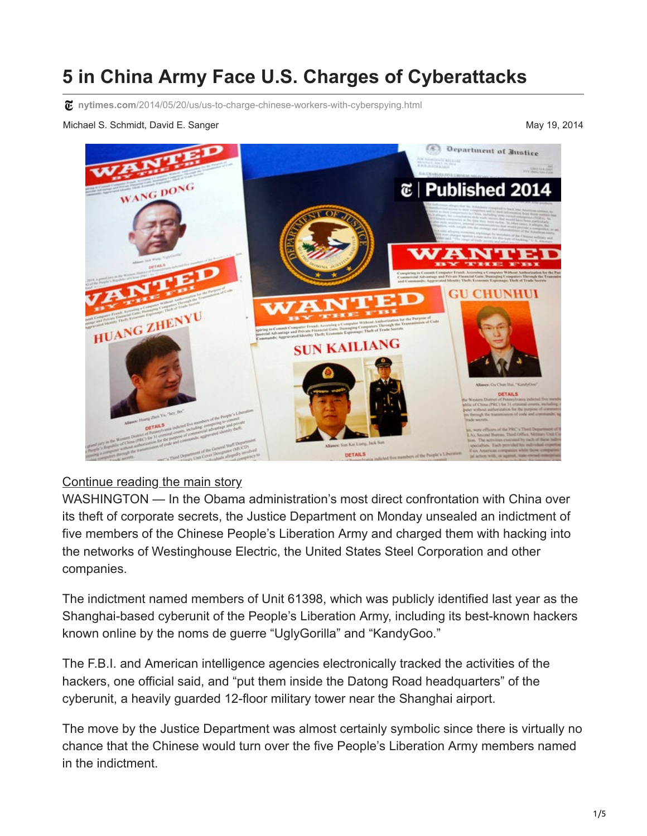# **5 in China Army Face U.S. Charges of Cyberattacks**

**nytimes.com**[/2014/05/20/us/us-to-charge-chinese-workers-with-cyberspying.html](https://www.nytimes.com/2014/05/20/us/us-to-charge-chinese-workers-with-cyberspying.html)

#### Michael S. Schmidt, David E. Sanger May 19, 2014



#### Continue reading the main story

WASHINGTON — In the Obama administration's most direct confrontation with China over its theft of corporate secrets, the Justice Department on Monday unsealed an indictment of five members of the Chinese People's Liberation Army and charged them with hacking into the networks of Westinghouse Electric, the United States Steel Corporation and other companies.

The indictment named members of Unit 61398, which was publicly identified last year as the Shanghai-based cyberunit of the People's Liberation Army, including its best-known hackers known online by the noms de guerre "UglyGorilla" and "KandyGoo."

The F.B.I. and American intelligence agencies electronically tracked the activities of the hackers, one official said, and "put them inside the Datong Road headquarters" of the cyberunit, a heavily guarded 12-floor military tower near the Shanghai airport.

The move by the Justice Department was almost certainly symbolic since there is virtually no chance that the Chinese would turn over the five People's Liberation Army members named in the indictment.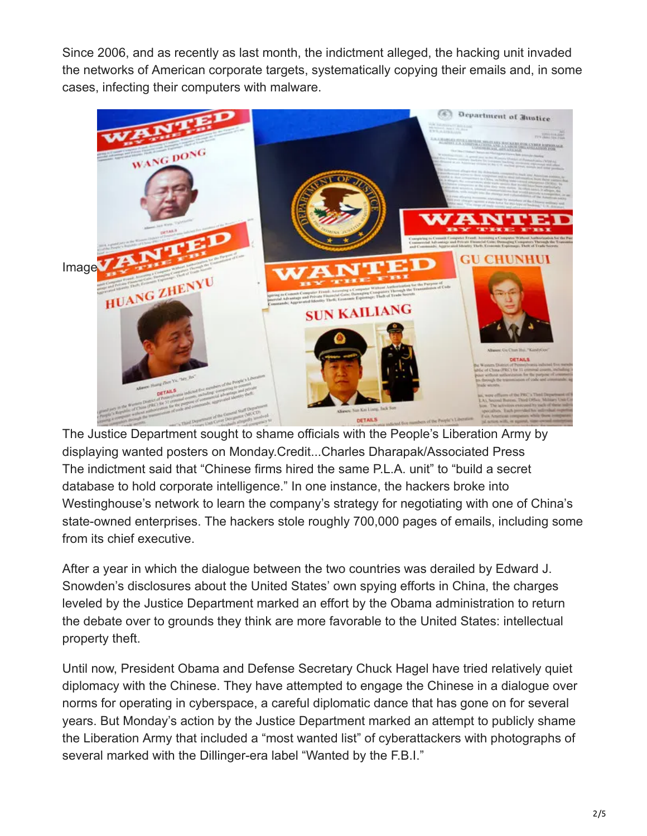Since 2006, and as recently as last month, the indictment alleged, the hacking unit invaded the networks of American corporate targets, systematically copying their emails and, in some cases, infecting their computers with malware.



The Justice Department sought to shame officials with the People's Liberation Army by displaying wanted posters on Monday.Credit...Charles Dharapak/Associated Press The indictment said that "Chinese firms hired the same P.L.A. unit" to "build a secret database to hold corporate intelligence." In one instance, the hackers broke into Westinghouse's network to learn the company's strategy for negotiating with one of China's state-owned enterprises. The hackers stole roughly 700,000 pages of emails, including some from its chief executive.

After a year in which the dialogue between the two countries was derailed by Edward J. Snowden's disclosures about the United States' own spying efforts in China, the charges leveled by the Justice Department marked an effort by the Obama administration to return the debate over to grounds they think are more favorable to the United States: intellectual property theft.

Until now, President Obama and Defense Secretary Chuck Hagel have tried relatively quiet diplomacy with the Chinese. They have attempted to engage the Chinese in a dialogue over norms for operating in cyberspace, a careful diplomatic dance that has gone on for several years. But Monday's action by the Justice Department marked an attempt to publicly shame the Liberation Army that included a "most wanted list" of cyberattackers with photographs of several marked with the Dillinger-era label "Wanted by the F.B.I."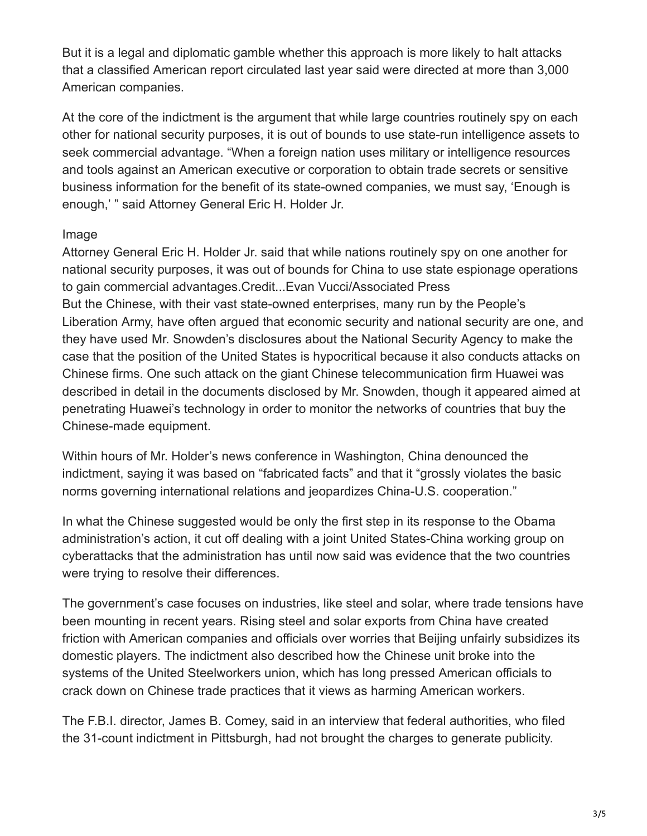But it is a legal and diplomatic gamble whether this approach is more likely to halt attacks that a classified American report circulated last year said were directed at more than 3,000 American companies.

At the core of the indictment is the argument that while large countries routinely spy on each other for national security purposes, it is out of bounds to use state-run intelligence assets to seek commercial advantage. "When a foreign nation uses military or intelligence resources and tools against an American executive or corporation to obtain trade secrets or sensitive business information for the benefit of its state-owned companies, we must say, 'Enough is enough,' " said Attorney General Eric H. Holder Jr.

### Image

Attorney General Eric H. Holder Jr. said that while nations routinely spy on one another for national security purposes, it was out of bounds for China to use state espionage operations to gain commercial advantages.Credit...Evan Vucci/Associated Press But the Chinese, with their vast state-owned enterprises, many run by the People's Liberation Army, have often argued that economic security and national security are one, and they have used Mr. Snowden's disclosures about the National Security Agency to make the case that the position of the United States is hypocritical because it also conducts attacks on Chinese firms. One such attack on the giant Chinese telecommunication firm Huawei was described in detail in the documents disclosed by Mr. Snowden, though it appeared aimed at penetrating Huawei's technology in order to monitor the networks of countries that buy the Chinese-made equipment.

Within hours of Mr. Holder's news conference in Washington, China denounced the indictment, saying it was based on "fabricated facts" and that it "grossly violates the basic norms governing international relations and jeopardizes China-U.S. cooperation."

In what the Chinese suggested would be only the first step in its response to the Obama administration's action, it cut off dealing with a joint United States-China working group on cyberattacks that the administration has until now said was evidence that the two countries were trying to resolve their differences.

The government's case focuses on industries, like steel and solar, where trade tensions have been mounting in recent years. Rising steel and solar exports from China have created friction with American companies and officials over worries that Beijing unfairly subsidizes its domestic players. The indictment also described how the Chinese unit broke into the systems of the United Steelworkers union, which has long pressed American officials to crack down on Chinese trade practices that it views as harming American workers.

The F.B.I. director, James B. Comey, said in an interview that federal authorities, who filed the 31-count indictment in Pittsburgh, had not brought the charges to generate publicity.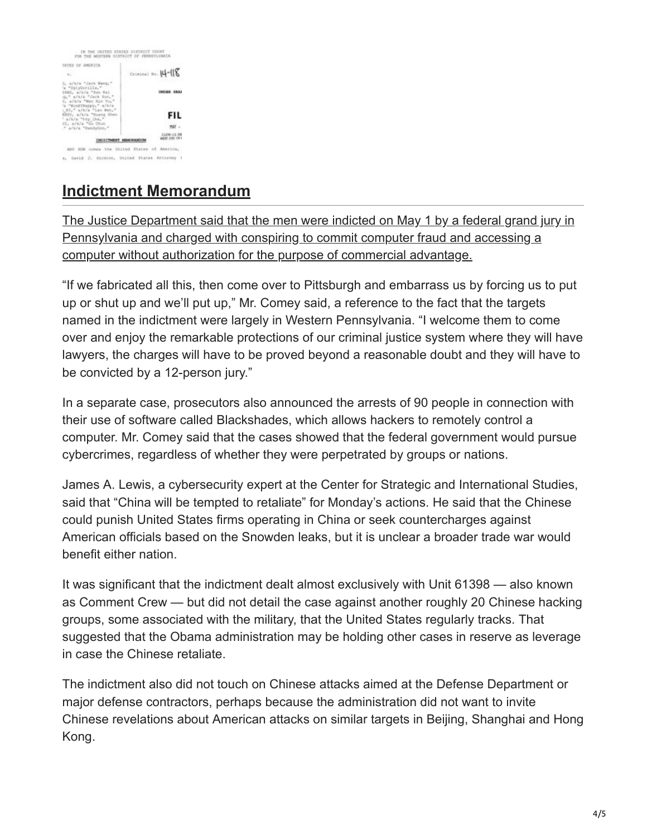

## **Indictment Memorandum**

[The Justice Department said that the men were indicted on May 1 by a federal grand jury in](https://www.nytimes.com/interactive/2014/05/19/us/20cyber.html) Pennsylvania and charged with conspiring to commit computer fraud and accessing a computer without authorization for the purpose of commercial advantage.

"If we fabricated all this, then come over to Pittsburgh and embarrass us by forcing us to put up or shut up and we'll put up," Mr. Comey said, a reference to the fact that the targets named in the indictment were largely in Western Pennsylvania. "I welcome them to come over and enjoy the remarkable protections of our criminal justice system where they will have lawyers, the charges will have to be proved beyond a reasonable doubt and they will have to be convicted by a 12-person jury."

In a separate case, prosecutors also announced the arrests of 90 people in connection with their use of software called Blackshades, which allows hackers to remotely control a computer. Mr. Comey said that the cases showed that the federal government would pursue cybercrimes, regardless of whether they were perpetrated by groups or nations.

James A. Lewis, a cybersecurity expert at the Center for Strategic and International Studies, said that "China will be tempted to retaliate" for Monday's actions. He said that the Chinese could punish United States firms operating in China or seek countercharges against American officials based on the Snowden leaks, but it is unclear a broader trade war would benefit either nation.

It was significant that the indictment dealt almost exclusively with Unit 61398 — also known as Comment Crew — but did not detail the case against another roughly 20 Chinese hacking groups, some associated with the military, that the United States regularly tracks. That suggested that the Obama administration may be holding other cases in reserve as leverage in case the Chinese retaliate.

The indictment also did not touch on Chinese attacks aimed at the Defense Department or major defense contractors, perhaps because the administration did not want to invite Chinese revelations about American attacks on similar targets in Beijing, Shanghai and Hong Kong.